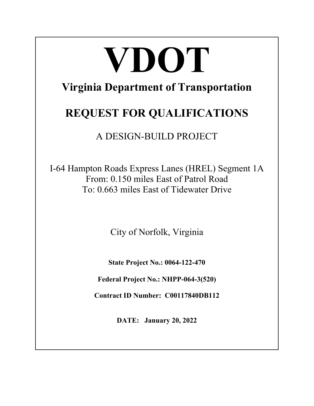# **VDOT**

# **Virginia Department of Transportation**

# **REQUEST FOR QUALIFICATIONS**

A DESIGN-BUILD PROJECT

I-64 Hampton Roads Express Lanes (HREL) Segment 1A From: 0.150 miles East of Patrol Road To: 0.663 miles East of Tidewater Drive

City of Norfolk, Virginia

**State Project No.: 0064-122-470** 

**Federal Project No.: NHPP-064-3(520)** 

**Contract ID Number: C00117840DB112** 

**DATE: January 20, 2022**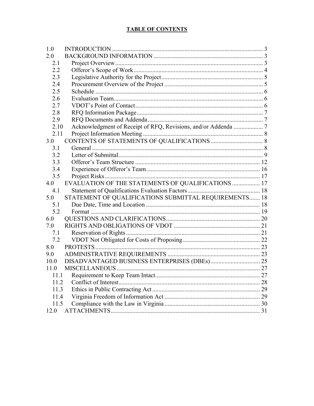# **TABLE OF CONTENTS**

| 1.0  |                                                       |  |
|------|-------------------------------------------------------|--|
| 2.0  |                                                       |  |
| 2.1  |                                                       |  |
| 2.2  |                                                       |  |
| 2.3  |                                                       |  |
| 2.4  |                                                       |  |
| 2.5  |                                                       |  |
| 2.6  |                                                       |  |
| 2.7  |                                                       |  |
| 2.8  |                                                       |  |
| 2.9  |                                                       |  |
| 2.10 |                                                       |  |
| 2.11 |                                                       |  |
| 3.0  |                                                       |  |
| 3.1  |                                                       |  |
| 3.2  |                                                       |  |
| 3.3  |                                                       |  |
| 3.4  |                                                       |  |
| 3.5  |                                                       |  |
| 4.0  | EVALUATION OF THE STATEMENTS OF QUALIFICATIONS  17    |  |
| 4.1  |                                                       |  |
| 5.0  | STATEMENT OF QUALIFICATIONS SUBMITTAL REQUIREMENTS 18 |  |
| 5.1  |                                                       |  |
| 5.2  |                                                       |  |
| 6.0  |                                                       |  |
| 7.0  |                                                       |  |
| 7.1  |                                                       |  |
| 7.2  |                                                       |  |
| 8.0  |                                                       |  |
| 9.0  |                                                       |  |
| 10.0 |                                                       |  |
| 11.0 |                                                       |  |
| 11.1 |                                                       |  |
| 11.2 |                                                       |  |
| 11.3 |                                                       |  |
| 11.4 |                                                       |  |
| 11.5 |                                                       |  |
| 12.0 |                                                       |  |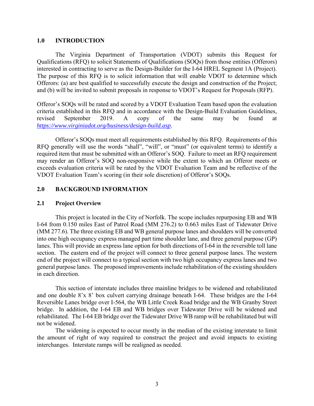#### **1.0 INTRODUCTION**

The Virginia Department of Transportation (VDOT) submits this Request for Qualifications (RFQ) to solicit Statements of Qualifications (SOQs) from those entities (Offerors) interested in contracting to serve as the Design-Builder for the I-64 HREL Segment 1A (Project). The purpose of this RFQ is to solicit information that will enable VDOT to determine which Offerors: (a) are best qualified to successfully execute the design and construction of the Project; and (b) will be invited to submit proposals in response to VDOT's Request for Proposals (RFP).

Offeror's SOQs will be rated and scored by a VDOT Evaluation Team based upon the evaluation criteria established in this RFQ and in accordance with the Design-Build Evaluation Guidelines, revised September 2019. A copy of the same may be found at *https://www.virginiadot.org/business/design-build.asp*.

Offeror's SOQs must meet all requirements established by this RFQ. Requirements of this RFQ generally will use the words "shall", "will", or "must" (or equivalent terms) to identify a required item that must be submitted with an Offeror's SOQ. Failure to meet an RFQ requirement may render an Offeror's SOQ non-responsive while the extent to which an Offeror meets or exceeds evaluation criteria will be rated by the VDOT Evaluation Team and be reflective of the VDOT Evaluation Team's scoring (in their sole discretion) of Offeror's SOQs.

#### **2.0 BACKGROUND INFORMATION**

#### **2.1 Project Overview**

This project is located in the City of Norfolk. The scope includes repurposing EB and WB I-64 from 0.150 miles East of Patrol Road (MM 276.2) to 0.663 miles East of Tidewater Drive (MM 277.6). The three existing EB and WB general purpose lanes and shoulders will be converted into one high occupancy express managed part time shoulder lane, and three general purpose (GP) lanes. This will provide an express lane option for both directions of I-64 in the reversible toll lane section. The eastern end of the project will connect to three general purpose lanes. The western end of the project will connect to a typical section with two high occupancy express lanes and two general purpose lanes. The proposed improvements include rehabilitation of the existing shoulders in each direction.

This section of interstate includes three mainline bridges to be widened and rehabilitated and one double 8'x 8' box culvert carrying drainage beneath I-64. These bridges are the I-64 Reversible Lanes bridge over I-564, the WB Little Creek Road bridge and the WB Granby Street bridge. In addition, the I-64 EB and WB bridges over Tidewater Drive will be widened and rehabilitated. The I-64 EB bridge over the Tidewater Drive WB ramp will be rehabilitated but will not be widened.

The widening is expected to occur mostly in the median of the existing interstate to limit the amount of right of way required to construct the project and avoid impacts to existing interchanges. Interstate ramps will be realigned as needed.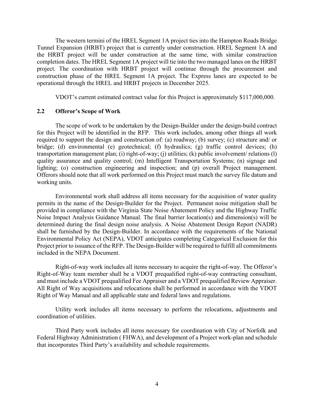The western termini of the HREL Segment 1A project ties into the Hampton Roads Bridge Tunnel Expansion (HRBT) project that is currently under construction. HREL Segment 1A and the HRBT project will be under construction at the same time, with similar construction completion dates. The HREL Segment 1A project will tie into the two managed lanes on the HRBT project. The coordination with HRBT project will continue through the procurement and construction phase of the HREL Segment 1A project. The Express lanes are expected to be operational through the HREL and HRBT projects in December 2025.

VDOT's current estimated contract value for this Project is approximately \$117,000,000.

#### **2.2 Offeror's Scope of Work**

The scope of work to be undertaken by the Design-Builder under the design-build contract for this Project will be identified in the RFP. This work includes, among other things all work required to support the design and construction of: (a) roadway; (b) survey; (c) structure and/ or bridge; (d) environmental (e) geotechnical; (f) hydraulics; (g) traffic control devices; (h) transportation management plan; (i) right-of-way; (j) utilities; (k) public involvement/ relations (l) quality assurance and quality control; (m) Intelligent Transportation Systems; (n) signage and lighting; (o) construction engineering and inspection; and (p) overall Project management. Offerors should note that all work performed on this Project must match the survey file datum and working units.

Environmental work shall address all items necessary for the acquisition of water quality permits in the name of the Design-Builder for the Project. Permanent noise mitigation shall be provided in compliance with the Virginia State Noise Abatement Policy and the Highway Traffic Noise Impact Analysis Guidance Manual. The final barrier location(s) and dimension(s) will be determined during the final design noise analysis. A Noise Abatement Design Report (NADR) shall be furnished by the Design-Builder. In accordance with the requirements of the National Environmental Policy Act (NEPA), VDOT anticipates completing Categorical Exclusion for this Project prior to issuance of the RFP. The Design-Builder will be required to fulfill all commitments included in the NEPA Document.

Right-of-way work includes all items necessary to acquire the right-of-way. The Offeror's Right-of-Way team member shall be a VDOT prequalified right-of-way contracting consultant, and must include a VDOT prequalified Fee Appraiser and a VDOT prequalified Review Appraiser. All Right of Way acquisitions and relocations shall be performed in accordance with the VDOT Right of Way Manual and all applicable state and federal laws and regulations.

Utility work includes all items necessary to perform the relocations, adjustments and coordination of utilities.

Third Party work includes all items necessary for coordination with City of Norfolk and Federal Highway Administration ( FHWA), and development of a Project work-plan and schedule that incorporates Third Party's availability and schedule requirements.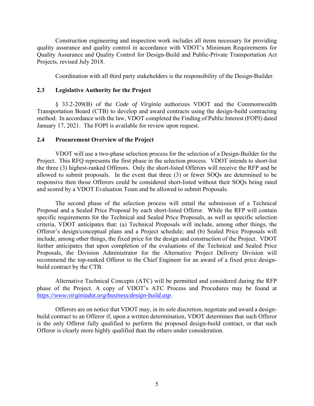Construction engineering and inspection work includes all items necessary for providing quality assurance and quality control in accordance with VDOT's Minimum Requirements for Quality Assurance and Quality Control for Design-Build and Public-Private Transportation Act Projects, revised July 2018.

Coordination with all third party stakeholders is the responsibility of the Design-Builder.

#### **2.3 Legislative Authority for the Project**

 § 33.2-209(B) of the *Code of Virginia* authorizes VDOT and the Commonwealth Transportation Board (CTB) to develop and award contracts using the design-build contracting method. In accordance with the law, VDOT completed the Finding of Public Interest (FOPI) dated January 17, 2021. The FOPI is available for review upon request.

#### **2.4 Procurement Overview of the Project**

 VDOT will use a two-phase selection process for the selection of a Design-Builder for the Project. This RFQ represents the first phase in the selection process. VDOT intends to short-list the three (3) highest-ranked Offerors. Only the short-listed Offerors will receive the RFP and be allowed to submit proposals. In the event that three (3) or fewer SOQs are determined to be responsive then those Offerors could be considered short-listed without their SOQs being rated and scored by a VDOT Evaluation Team and be allowed to submit Proposals.

 The second phase of the selection process will entail the submission of a Technical Proposal and a Sealed Price Proposal by each short-listed Offeror. While the RFP will contain specific requirements for the Technical and Sealed Price Proposals, as well as specific selection criteria, VDOT anticipates that: (a) Technical Proposals will include, among other things, the Offeror's design/conceptual plans and a Project schedule; and (b) Sealed Price Proposals will include, among other things, the fixed price for the design and construction of the Project. VDOT further anticipates that upon completion of the evaluations of the Technical and Sealed Price Proposals, the Division Administrator for the Alternative Project Delivery Division will recommend the top-ranked Offeror to the Chief Engineer for an award of a fixed price designbuild contract by the CTB.

Alternative Technical Concepts (ATC) will be permitted and considered during the RFP phase of the Project. A copy of VDOT's ATC Process and Procedures may be found at *https://www.virginiadot.org/business/design-build.asp*.

 Offerors are on notice that VDOT may, in its sole discretion, negotiate and award a designbuild contract to an Offeror if, upon a written determination, VDOT determines that such Offeror is the only Offeror fully qualified to perform the proposed design-build contract, or that such Offeror is clearly more highly qualified than the others under consideration.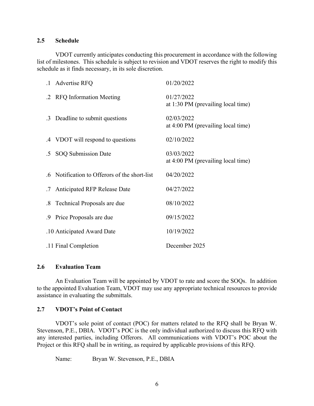#### **2.5 Schedule**

VDOT currently anticipates conducting this procurement in accordance with the following list of milestones. This schedule is subject to revision and VDOT reserves the right to modify this schedule as it finds necessary, in its sole discretion.

|        | .1 Advertise RFQ                              | 01/20/2022                                       |
|--------|-----------------------------------------------|--------------------------------------------------|
|        | .2 RFQ Information Meeting                    | 01/27/2022<br>at 1:30 PM (prevailing local time) |
|        | .3 Deadline to submit questions               | 02/03/2022<br>at 4:00 PM (prevailing local time) |
|        | .4 VDOT will respond to questions             | 02/10/2022                                       |
| $.5\,$ | SOQ Submission Date                           | 03/03/2022<br>at 4:00 PM (prevailing local time) |
|        | .6 Notification to Offerors of the short-list | 04/20/2022                                       |
|        | .7 Anticipated RFP Release Date               | 04/27/2022                                       |
|        |                                               |                                                  |
|        | .8 Technical Proposals are due                | 08/10/2022                                       |
|        | .9 Price Proposals are due                    | 09/15/2022                                       |
|        | .10 Anticipated Award Date                    | 10/19/2022                                       |

#### **2.6 Evaluation Team**

 An Evaluation Team will be appointed by VDOT to rate and score the SOQs. In addition to the appointed Evaluation Team, VDOT may use any appropriate technical resources to provide assistance in evaluating the submittals.

#### **2.7 VDOT's Point of Contact**

 VDOT's sole point of contact (POC) for matters related to the RFQ shall be Bryan W. Stevenson, P.E., DBIA. VDOT's POC is the only individual authorized to discuss this RFQ with any interested parties, including Offerors. All communications with VDOT's POC about the Project or this RFQ shall be in writing, as required by applicable provisions of this RFQ.

Name: Bryan W. Stevenson, P.E., DBIA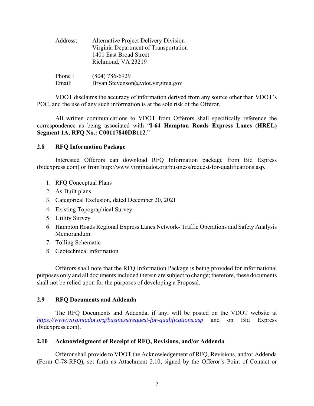| Address:         | Alternative Project Delivery Division<br>Virginia Department of Transportation<br>1401 East Broad Street |  |
|------------------|----------------------------------------------------------------------------------------------------------|--|
| Phone:<br>Email: | Richmond, VA 23219<br>$(804) 786 - 6929$<br>Bryan.Stevenson@vdot.virginia.gov                            |  |

VDOT disclaims the accuracy of information derived from any source other than VDOT's POC, and the use of any such information is at the sole risk of the Offeror.

All written communications to VDOT from Offerors shall specifically reference the correspondence as being associated with "**I-64 Hampton Roads Express Lanes (HREL) Segment 1A, RFQ No.: C00117840DB112**."

#### **2.8 RFQ Information Package**

 Interested Offerors can download RFQ Information package from Bid Express (bidexpress.com) or from http://www.virginiadot.org/business/request-for-qualifications.asp.

- 1. RFQ Conceptual Plans
- 2. As-Built plans
- 3. Categorical Exclusion, dated December 20, 2021
- 4. Existing Topographical Survey
- 5. Utility Survey
- 6. Hampton Roads Regional Express Lanes Network- Traffic Operations and Safety Analysis Memorandum
- 7. Tolling Schematic
- 8. Geotechnical information

Offerors shall note that the RFQ Information Package is being provided for informational purposes only and all documents included therein are subject to change; therefore, these documents shall not be relied upon for the purposes of developing a Proposal.

#### **2.9 RFQ Documents and Addenda**

 The RFQ Documents and Addenda, if any, will be posted on the VDOT website at *https://www.virginiadot.org/business/request-for-qualifications.asp* and on Bid Express (bidexpress.com).

#### **2.10 Acknowledgment of Receipt of RFQ, Revisions, and/or Addenda**

Offeror shall provide to VDOT the Acknowledgement of RFQ, Revisions, and/or Addenda (Form C-78-RFQ), set forth as Attachment 2.10, signed by the Offeror's Point of Contact or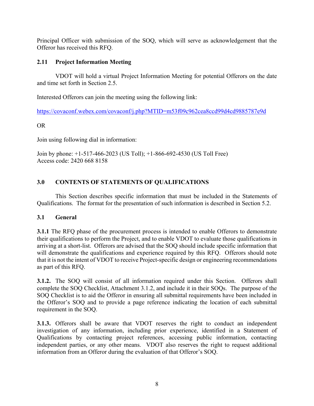Principal Officer with submission of the SOQ, which will serve as acknowledgement that the Offeror has received this RFQ.

# **2.11 Project Information Meeting**

VDOT will hold a virtual Project Information Meeting for potential Offerors on the date and time set forth in Section 2.5.

Interested Offerors can join the meeting using the following link:

https://covaconf.webex.com/covaconf/j.php?MTID=m53f09c962cea8ccd99d4cd9885787e9d

OR

Join using following dial in information:

Join by phone: +1-517-466-2023 (US Toll); +1-866-692-4530 (US Toll Free) Access code: 2420 668 8158

# **3.0 CONTENTS OF STATEMENTS OF QUALIFICATIONS**

This Section describes specific information that must be included in the Statements of Qualifications. The format for the presentation of such information is described in Section 5.2.

# **3.1 General**

**3.1.1** The RFQ phase of the procurement process is intended to enable Offerors to demonstrate their qualifications to perform the Project, and to enable VDOT to evaluate those qualifications in arriving at a short-list. Offerors are advised that the SOQ should include specific information that will demonstrate the qualifications and experience required by this RFQ. Offerors should note that it is not the intent of VDOT to receive Project-specific design or engineering recommendations as part of this RFQ.

**3.1.2.** The SOQ will consist of all information required under this Section. Offerors shall complete the SOQ Checklist, Attachment 3.1.2, and include it in their SOQs. The purpose of the SOQ Checklist is to aid the Offeror in ensuring all submittal requirements have been included in the Offeror's SOQ and to provide a page reference indicating the location of each submittal requirement in the SOQ.

**3.1.3.** Offerors shall be aware that VDOT reserves the right to conduct an independent investigation of any information, including prior experience, identified in a Statement of Qualifications by contacting project references, accessing public information, contacting independent parties, or any other means. VDOT also reserves the right to request additional information from an Offeror during the evaluation of that Offeror's SOQ.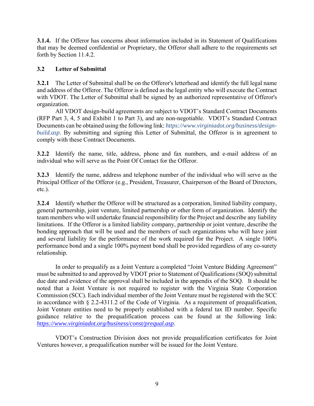**3.1.4.** If the Offeror has concerns about information included in its Statement of Qualifications that may be deemed confidential or Proprietary, the Offeror shall adhere to the requirements set forth by Section 11.4.2.

# **3.2 Letter of Submittal**

**3.2.1** The Letter of Submittal shall be on the Offeror's letterhead and identify the full legal name and address of the Offeror. The Offeror is defined as the legal entity who will execute the Contract with VDOT. The Letter of Submittal shall be signed by an authorized representative of Offeror's organization.

All VDOT design-build agreements are subject to VDOT's Standard Contract Documents (RFP Part 3, 4, 5 and Exhibit 1 to Part 3), and are non-negotiable. VDOT's Standard Contract Documents can be obtained using the following link: *https://www.virginiadot.org/business/designbuild.asp*. By submitting and signing this Letter of Submittal, the Offeror is in agreement to comply with these Contract Documents.

**3.2.2** Identify the name, title, address, phone and fax numbers, and e-mail address of an individual who will serve as the Point Of Contact for the Offeror.

**3.2.3** Identify the name, address and telephone number of the individual who will serve as the Principal Officer of the Offeror (e.g., President, Treasurer, Chairperson of the Board of Directors, etc.).

**3.2.4** Identify whether the Offeror will be structured as a corporation, limited liability company, general partnership, joint venture, limited partnership or other form of organization. Identify the team members who will undertake financial responsibility for the Project and describe any liability limitations. If the Offeror is a limited liability company, partnership or joint venture, describe the bonding approach that will be used and the members of such organizations who will have joint and several liability for the performance of the work required for the Project. A single 100% performance bond and a single 100% payment bond shall be provided regardless of any co-surety relationship.

In order to prequalify as a Joint Venture a completed "Joint Venture Bidding Agreement" must be submitted to and approved by VDOT prior to Statement of Qualifications (SOQ) submittal due date and evidence of the approval shall be included in the appendix of the SOQ. It should be noted that a Joint Venture is not required to register with the Virginia State Corporation Commission (SCC). Each individual member of the Joint Venture must be registered with the SCC in accordance with § 2.2-4311.2 of the Code of Virginia. As a requirement of prequalification, Joint Venture entities need to be properly established with a federal tax ID number. Specific guidance relative to the prequalification process can be found at the following link: *https://www.virginiadot.org/business/const/prequal.asp*.

VDOT's Construction Division does not provide prequalification certificates for Joint Ventures however, a prequalification number will be issued for the Joint Venture.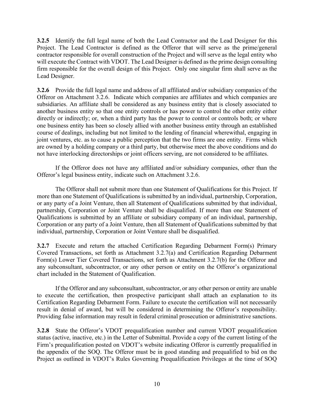**3.2.5** Identify the full legal name of both the Lead Contractor and the Lead Designer for this Project. The Lead Contractor is defined as the Offeror that will serve as the prime/general contractor responsible for overall construction of the Project and will serve as the legal entity who will execute the Contract with VDOT. The Lead Designer is defined as the prime design consulting firm responsible for the overall design of this Project. Only one singular firm shall serve as the Lead Designer.

**3.2.6** Provide the full legal name and address of all affiliated and/or subsidiary companies of the Offeror on Attachment 3.2.6. Indicate which companies are affiliates and which companies are subsidiaries. An affiliate shall be considered as any business entity that is closely associated to another business entity so that one entity controls or has power to control the other entity either directly or indirectly; or, when a third party has the power to control or controls both; or where one business entity has been so closely allied with another business entity through an established course of dealings, including but not limited to the lending of financial wherewithal, engaging in joint ventures, etc. as to cause a public perception that the two firms are one entity. Firms which are owned by a holding company or a third party, but otherwise meet the above conditions and do not have interlocking directorships or joint officers serving, are not considered to be affiliates.

If the Offeror does not have any affiliated and/or subsidiary companies, other than the Offeror's legal business entity, indicate such on Attachment 3.2.6.

The Offeror shall not submit more than one Statement of Qualifications for this Project. If more than one Statement of Qualifications is submitted by an individual, partnership, Corporation, or any party of a Joint Venture, then all Statement of Qualifications submitted by that individual, partnership, Corporation or Joint Venture shall be disqualified. If more than one Statement of Qualifications is submitted by an affiliate or subsidiary company of an individual, partnership, Corporation or any party of a Joint Venture, then all Statement of Qualifications submitted by that individual, partnership, Corporation or Joint Venture shall be disqualified.

**3.2.7** Execute and return the attached Certification Regarding Debarment Form(s) Primary Covered Transactions, set forth as Attachment 3.2.7(a) and Certification Regarding Debarment Form(s) Lower Tier Covered Transactions, set forth as Attachment 3.2.7(b) for the Offeror and any subconsultant, subcontractor, or any other person or entity on the Offeror's organizational chart included in the Statement of Qualification.

If the Offeror and any subconsultant, subcontractor, or any other person or entity are unable to execute the certification, then prospective participant shall attach an explanation to its Certification Regarding Debarment Form. Failure to execute the certification will not necessarily result in denial of award, but will be considered in determining the Offeror's responsibility. Providing false information may result in federal criminal prosecution or administrative sanctions.

**3.2.8** State the Offeror's VDOT prequalification number and current VDOT prequalification status (active, inactive, etc.) in the Letter of Submittal. Provide a copy of the current listing of the Firm's prequalification posted on VDOT's website indicating Offeror is currently prequalified in the appendix of the SOQ. The Offeror must be in good standing and prequalified to bid on the Project as outlined in VDOT's Rules Governing Prequalification Privileges at the time of SOQ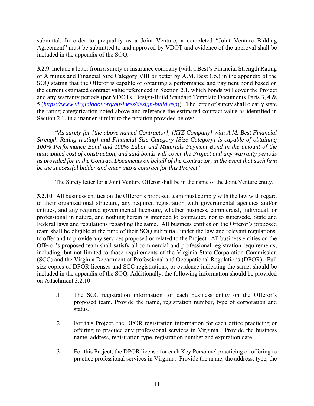submittal. In order to prequalify as a Joint Venture, a completed "Joint Venture Bidding Agreement" must be submitted to and approved by VDOT and evidence of the approval shall be included in the appendix of the SOQ.

**3.2.9** Include a letter from a surety or insurance company (with a Best's Financial Strength Rating of A minus and Financial Size Category VIII or better by A.M. Best Co.) in the appendix of the SOQ stating that the Offeror is capable of obtaining a performance and payment bond based on the current estimated contract value referenced in Section 2.1, which bonds will cover the Project and any warranty periods (per VDOTs Design-Build Standard Template Documents Parts 3, 4 & 5 (*https://www.virginiadot.org/business/design-build.asp*)). The letter of surety shall clearly state the rating categorization noted above and reference the estimated contract value as identified in Section 2.1, in a manner similar to the notation provided below:

"*As surety for [the above named Contractor], [XYZ Company] with A.M. Best Financial Strength Rating [rating] and Financial Size Category [Size Category] is capable of obtaining 100% Performance Bond and 100% Labor and Materials Payment Bond in the amount of the anticipated cost of construction, and said bonds will cover the Project and any warranty periods as provided for in the Contract Documents on behalf of the Contractor, in the event that such firm be the successful bidder and enter into a contract for this Project*."

The Surety letter for a Joint Venture Offeror shall be in the name of the Joint Venture entity.

**3.2.10** All business entities on the Offeror's proposed team must comply with the law with regard to their organizational structure, any required registration with governmental agencies and/or entities, and any required governmental licensure, whether business, commercial, individual, or professional in nature, and nothing herein is intended to contradict, nor to supersede, State and Federal laws and regulations regarding the same. All business entities on the Offeror's proposed team shall be eligible at the time of their SOQ submittal, under the law and relevant regulations, to offer and to provide any services proposed or related to the Project. All business entities on the Offeror's proposed team shall satisfy all commercial and professional registration requirements, including, but not limited to those requirements of the Virginia State Corporation Commission (SCC) and the Virginia Department of Professional and Occupational Regulations (DPOR). Full size copies of DPOR licenses and SCC registrations, or evidence indicating the same, should be included in the appendix of the SOQ. Additionally, the following information should be provided on Attachment 3.2.10:

- .1 The SCC registration information for each business entity on the Offeror's proposed team. Provide the name, registration number, type of corporation and status.
- .2 For this Project, the DPOR registration information for each office practicing or offering to practice any professional services in Virginia. Provide the business name, address, registration type, registration number and expiration date.
- .3 For this Project, the DPOR license for each Key Personnel practicing or offering to practice professional services in Virginia. Provide the name, the address, type, the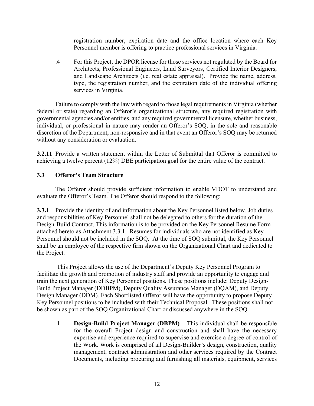registration number, expiration date and the office location where each Key Personnel member is offering to practice professional services in Virginia.

.4 For this Project, the DPOR license for those services not regulated by the Board for Architects, Professional Engineers, Land Surveyors, Certified Interior Designers, and Landscape Architects (i.e. real estate appraisal). Provide the name, address, type, the registration number, and the expiration date of the individual offering services in Virginia.

Failure to comply with the law with regard to those legal requirements in Virginia (whether federal or state) regarding an Offeror's organizational structure, any required registration with governmental agencies and/or entities, and any required governmental licensure, whether business, individual, or professional in nature may render an Offeror's SOQ, in the sole and reasonable discretion of the Department, non-responsive and in that event an Offeror's SOQ may be returned without any consideration or evaluation.

**3.2.11** Provide a written statement within the Letter of Submittal that Offeror is committed to achieving a twelve percent (12%) DBE participation goal for the entire value of the contract.

# **3.3 Offeror's Team Structure**

The Offeror should provide sufficient information to enable VDOT to understand and evaluate the Offeror's Team. The Offeror should respond to the following:

**3.3.1** Provide the identity of and information about the Key Personnel listed below. Job duties and responsibilities of Key Personnel shall not be delegated to others for the duration of the Design-Build Contract. This information is to be provided on the Key Personnel Resume Form attached hereto as Attachment 3.3.1. Resumes for individuals who are not identified as Key Personnel should not be included in the SOQ. At the time of SOQ submittal, the Key Personnel shall be an employee of the respective firm shown on the Organizational Chart and dedicated to the Project.

 This Project allows the use of the Department's Deputy Key Personnel Program to facilitate the growth and promotion of industry staff and provide an opportunity to engage and train the next generation of Key Personnel positions. These positions include: Deputy Design-Build Project Manager (DDBPM), Deputy Quality Assurance Manager (DQAM), and Deputy Design Manager (DDM). Each Shortlisted Offeror will have the opportunity to propose Deputy Key Personnel positions to be included with their Technical Proposal. These positions shall not be shown as part of the SOQ Organizational Chart or discussed anywhere in the SOQ.

.1 **Design-Build Project Manager (DBPM)** – This individual shall be responsible for the overall Project design and construction and shall have the necessary expertise and experience required to supervise and exercise a degree of control of the Work. Work is comprised of all Design-Builder's design, construction, quality management, contract administration and other services required by the Contract Documents, including procuring and furnishing all materials, equipment, services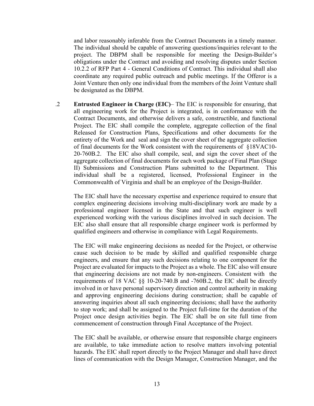and labor reasonably inferable from the Contract Documents in a timely manner. The individual should be capable of answering questions/inquiries relevant to the project. The DBPM shall be responsible for meeting the Design-Builder's obligations under the Contract and avoiding and resolving disputes under Section 10.2.2 of RFP Part 4 - General Conditions of Contract. This individual shall also coordinate any required public outreach and public meetings. If the Offeror is a Joint Venture then only one individual from the members of the Joint Venture shall be designated as the DBPM.

.2 **Entrusted Engineer in Charge (EIC)**– The EIC is responsible for ensuring, that all engineering work for the Project is integrated, is in conformance with the Contract Documents, and otherwise delivers a safe, constructible, and functional Project. The EIC shall compile the complete, aggregate collection of the final Released for Construction Plans, Specifications and other documents for the entirety of the Work and seal and sign the cover sheet of the aggregate collection of final documents for the Work consistent with the requirements of §18VAC10- 20-760B.2. The EIC also shall compile, seal, and sign the cover sheet of the aggregate collection of final documents for each work package of Final Plan (Stage II) Submissions and Construction Plans submitted to the Department. This individual shall be a registered, licensed, Professional Engineer in the Commonwealth of Virginia and shall be an employee of the Design-Builder.

 The EIC shall have the necessary expertise and experience required to ensure that complex engineering decisions involving multi-disciplinary work are made by a professional engineer licensed in the State and that such engineer is well experienced working with the various disciplines involved in such decision. The EIC also shall ensure that all responsible charge engineer work is performed by qualified engineers and otherwise in compliance with Legal Requirements.

 The EIC will make engineering decisions as needed for the Project, or otherwise cause such decision to be made by skilled and qualified responsible charge engineers, and ensure that any such decisions relating to one component for the Project are evaluated for impacts to the Project as a whole. The EIC also will ensure that engineering decisions are not made by non-engineers. Consistent with the requirements of 18 VAC §§ 10-20-740.B and -760B.2, the EIC shall be directly involved in or have personal supervisory direction and control authority in making and approving engineering decisions during construction; shall be capable of answering inquiries about all such engineering decisions; shall have the authority to stop work; and shall be assigned to the Project full-time for the duration of the Project once design activities begin. The EIC shall be on site full time from commencement of construction through Final Acceptance of the Project.

 The EIC shall be available, or otherwise ensure that responsible charge engineers are available, to take immediate action to resolve matters involving potential hazards. The EIC shall report directly to the Project Manager and shall have direct lines of communication with the Design Manager, Construction Manager, and the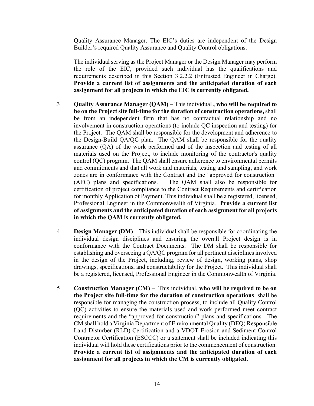Quality Assurance Manager. The EIC's duties are independent of the Design Builder's required Quality Assurance and Quality Control obligations.

 The individual serving as the Project Manager or the Design Manager may perform the role of the EIC, provided such individual has the qualifications and requirements described in this Section 3.2.2.2 (Entrusted Engineer in Charge). **Provide a current list of assignments and the anticipated duration of each assignment for all projects in which the EIC is currently obligated.**

- .3 **Quality Assurance Manager (QAM)** This individual **, who will be required to be on the Project site full-time for the duration of construction operations,** shall be from an independent firm that has no contractual relationship and no involvement in construction operations (to include QC inspection and testing) for the Project. The QAM shall be responsible for the development and adherence to the Design-Build QA/QC plan. The QAM shall be responsible for the quality assurance (QA) of the work performed and of the inspection and testing of all materials used on the Project, to include monitoring of the contractor's quality control (QC) program. The QAM shall ensure adherence to environmental permits and commitments and that all work and materials, testing and sampling, and work zones are in conformance with the Contract and the "approved for construction" (AFC) plans and specifications. The QAM shall also be responsible for certification of project compliance to the Contract Requirements and certification for monthly Application of Payment. This individual shall be a registered, licensed, Professional Engineer in the Commonwealth of Virginia. **Provide a current list of assignments and the anticipated duration of each assignment for all projects in which the QAM is currently obligated.**
- .4 **Design Manager (DM)** This individual shall be responsible for coordinating the individual design disciplines and ensuring the overall Project design is in conformance with the Contract Documents. The DM shall be responsible for establishing and overseeing a QA/QC program for all pertinent disciplines involved in the design of the Project, including, review of design, working plans, shop drawings, specifications, and constructability for the Project. This individual shall be a registered, licensed, Professional Engineer in the Commonwealth of Virginia.
- .5 **Construction Manager (CM)** This individual, **who will be required to be on the Project site full-time for the duration of construction operations**, shall be responsible for managing the construction process, to include all Quality Control (QC) activities to ensure the materials used and work performed meet contract requirements and the "approved for construction" plans and specifications. The CM shall hold a Virginia Department of Environmental Quality (DEQ) Responsible Land Disturber (RLD) Certification and a VDOT Erosion and Sediment Control Contractor Certification (ESCCC) or a statement shall be included indicating this individual will hold these certifications prior to the commencement of construction. **Provide a current list of assignments and the anticipated duration of each assignment for all projects in which the CM is currently obligated.**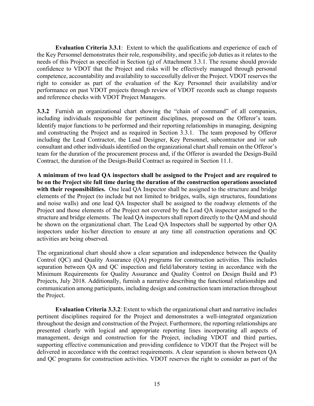**Evaluation Criteria 3.3.1**: Extent to which the qualifications and experience of each of the Key Personnel demonstrates their role, responsibility, and specific job duties as it relates to the needs of this Project as specified in Section (g) of Attachment 3.3.1. The resume should provide confidence to VDOT that the Project and risks will be effectively managed through personal competence, accountability and availability to successfully deliver the Project. VDOT reserves the right to consider as part of the evaluation of the Key Personnel their availability and/or performance on past VDOT projects through review of VDOT records such as change requests and reference checks with VDOT Project Managers.

**3.3.2** Furnish an organizational chart showing the "chain of command" of all companies, including individuals responsible for pertinent disciplines, proposed on the Offeror's team. Identify major functions to be performed and their reporting relationships in managing, designing and constructing the Project and as required in Section 3.3.1. The team proposed by Offeror including the Lead Contractor, the Lead Designer, Key Personnel, subcontractor and /or sub consultant and other individuals identified on the organizational chart shall remain on the Offeror's team for the duration of the procurement process and, if the Offeror is awarded the Design-Build Contract, the duration of the Design-Build Contract as required in Section 11.1.

**A minimum of two lead QA inspectors shall be assigned to the Project and are required to be on the Project site full time during the duration of the construction operations associated with their responsibilities.** One lead QA Inspector shall be assigned to the structure and bridge elements of the Project (to include but not limited to bridges, walls, sign structures, foundations and noise walls) and one lead QA Inspector shall be assigned to the roadway elements of the Project and those elements of the Project not covered by the Lead QA inspector assigned to the structure and bridge elements. The lead QA inspectors shall report directly to the QAM and should be shown on the organizational chart. The Lead QA Inspectors shall be supported by other QA inspectors under his/her direction to ensure at any time all construction operations and QC activities are being observed.

The organizational chart should show a clear separation and independence between the Quality Control (QC) and Quality Assurance (QA) programs for construction activities. This includes separation between QA and QC inspection and field/laboratory testing in accordance with the Minimum Requirements for Quality Assurance and Quality Control on Design Build and P3 Projects, July 2018. Additionally, furnish a narrative describing the functional relationships and communication among participants, including design and construction team interaction throughout the Project.

**Evaluation Criteria 3.3.2**: Extent to which the organizational chart and narrative includes pertinent disciplines required for the Project and demonstrates a well-integrated organization throughout the design and construction of the Project. Furthermore, the reporting relationships are presented clearly with logical and appropriate reporting lines incorporating all aspects of management, design and construction for the Project, including VDOT and third parties, supporting effective communication and providing confidence to VDOT that the Project will be delivered in accordance with the contract requirements. A clear separation is shown between QA and QC programs for construction activities. VDOT reserves the right to consider as part of the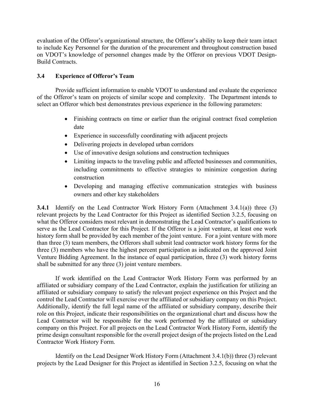evaluation of the Offeror's organizational structure, the Offeror's ability to keep their team intact to include Key Personnel for the duration of the procurement and throughout construction based on VDOT's knowledge of personnel changes made by the Offeror on previous VDOT Design-Build Contracts.

# **3.4 Experience of Offeror's Team**

Provide sufficient information to enable VDOT to understand and evaluate the experience of the Offeror's team on projects of similar scope and complexity. The Department intends to select an Offeror which best demonstrates previous experience in the following parameters:

- Finishing contracts on time or earlier than the original contract fixed completion date
- Experience in successfully coordinating with adjacent projects
- Delivering projects in developed urban corridors
- Use of innovative design solutions and construction techniques
- Limiting impacts to the traveling public and affected businesses and communities, including commitments to effective strategies to minimize congestion during construction
- Developing and managing effective communication strategies with business owners and other key stakeholders

**3.4.1** Identify on the Lead Contractor Work History Form (Attachment 3.4.1(a)) three (3) relevant projects by the Lead Contractor for this Project as identified Section 3.2.5, focusing on what the Offeror considers most relevant in demonstrating the Lead Contractor's qualifications to serve as the Lead Contractor for this Project. If the Offeror is a joint venture, at least one work history form shall be provided by each member of the joint venture. For a joint venture with more than three (3) team members, the Offerors shall submit lead contractor work history forms for the three (3) members who have the highest percent participation as indicated on the approved Joint Venture Bidding Agreement. In the instance of equal participation, three (3) work history forms shall be submitted for any three (3) joint venture members.

If work identified on the Lead Contractor Work History Form was performed by an affiliated or subsidiary company of the Lead Contractor, explain the justification for utilizing an affiliated or subsidiary company to satisfy the relevant project experience on this Project and the control the Lead Contractor will exercise over the affiliated or subsidiary company on this Project. Additionally, identify the full legal name of the affiliated or subsidiary company, describe their role on this Project, indicate their responsibilities on the organizational chart and discuss how the Lead Contractor will be responsible for the work performed by the affiliated or subsidiary company on this Project. For all projects on the Lead Contractor Work History Form, identify the prime design consultant responsible for the overall project design of the projects listed on the Lead Contractor Work History Form.

Identify on the Lead Designer Work History Form (Attachment 3.4.1(b)) three (3) relevant projects by the Lead Designer for this Project as identified in Section 3.2.5, focusing on what the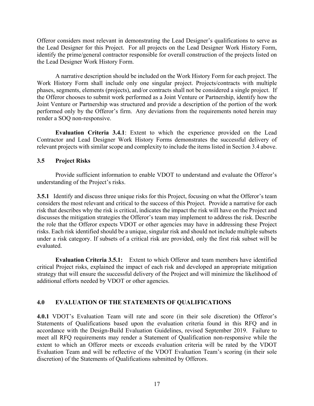Offeror considers most relevant in demonstrating the Lead Designer's qualifications to serve as the Lead Designer for this Project. For all projects on the Lead Designer Work History Form, identify the prime/general contractor responsible for overall construction of the projects listed on the Lead Designer Work History Form.

A narrative description should be included on the Work History Form for each project. The Work History Form shall include only one singular project. Projects/contracts with multiple phases, segments, elements (projects), and/or contracts shall not be considered a single project. If the Offeror chooses to submit work performed as a Joint Venture or Partnership, identify how the Joint Venture or Partnership was structured and provide a description of the portion of the work performed only by the Offeror's firm. Any deviations from the requirements noted herein may render a SOQ non-responsive.

**Evaluation Criteria 3.4.1**: Extent to which the experience provided on the Lead Contractor and Lead Designer Work History Forms demonstrates the successful delivery of relevant projects with similar scope and complexity to include the items listed in Section 3.4 above.

# **3.5 Project Risks**

Provide sufficient information to enable VDOT to understand and evaluate the Offeror's understanding of the Project's risks.

**3.5.1** Identify and discuss three unique risks for this Project, focusing on what the Offeror's team considers the most relevant and critical to the success of this Project. Provide a narrative for each risk that describes why the risk is critical, indicates the impact the risk will have on the Project and discusses the mitigation strategies the Offeror's team may implement to address the risk. Describe the role that the Offeror expects VDOT or other agencies may have in addressing these Project risks. Each risk identified should be a unique, singular risk and should not include multiple subsets under a risk category. If subsets of a critical risk are provided, only the first risk subset will be evaluated.

**Evaluation Criteria 3.5.1:** Extent to which Offeror and team members have identified critical Project risks, explained the impact of each risk and developed an appropriate mitigation strategy that will ensure the successful delivery of the Project and will minimize the likelihood of additional efforts needed by VDOT or other agencies.

# **4.0 EVALUATION OF THE STATEMENTS OF QUALIFICATIONS**

**4.0.1** VDOT's Evaluation Team will rate and score (in their sole discretion) the Offeror's Statements of Qualifications based upon the evaluation criteria found in this RFQ and in accordance with the Design-Build Evaluation Guidelines, revised September 2019. Failure to meet all RFQ requirements may render a Statement of Qualification non-responsive while the extent to which an Offeror meets or exceeds evaluation criteria will be rated by the VDOT Evaluation Team and will be reflective of the VDOT Evaluation Team's scoring (in their sole discretion) of the Statements of Qualifications submitted by Offerors.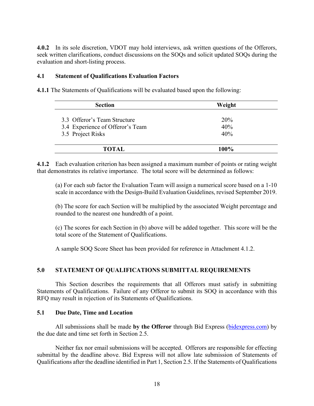**4.0.2** In its sole discretion, VDOT may hold interviews, ask written questions of the Offerors, seek written clarifications, conduct discussions on the SOQs and solicit updated SOQs during the evaluation and short-listing process.

#### **4.1 Statement of Qualifications Evaluation Factors**

**4.1.1** The Statements of Qualifications will be evaluated based upon the following:

| <b>Section</b>                                                                        | Weight            |  |
|---------------------------------------------------------------------------------------|-------------------|--|
| 3.3 Offeror's Team Structure<br>3.4 Experience of Offeror's Team<br>3.5 Project Risks | 20%<br>40%<br>40% |  |
| <b>TOTAL</b>                                                                          | 100%              |  |

**4.1.2** Each evaluation criterion has been assigned a maximum number of points or rating weight that demonstrates its relative importance. The total score will be determined as follows:

(a) For each sub factor the Evaluation Team will assign a numerical score based on a 1-10 scale in accordance with the Design-Build Evaluation Guidelines, revised September 2019.

(b) The score for each Section will be multiplied by the associated Weight percentage and rounded to the nearest one hundredth of a point.

(c) The scores for each Section in (b) above will be added together. This score will be the total score of the Statement of Qualifications.

A sample SOQ Score Sheet has been provided for reference in Attachment 4.1.2.

#### **5.0 STATEMENT OF QUALIFICATIONS SUBMITTAL REQUIREMENTS**

This Section describes the requirements that all Offerors must satisfy in submitting Statements of Qualifications. Failure of any Offeror to submit its SOQ in accordance with this RFQ may result in rejection of its Statements of Qualifications.

#### **5.1 Due Date, Time and Location**

All submissions shall be made **by the Offeror** through Bid Express (bidexpress.com) by the due date and time set forth in Section 2.5.

Neither fax nor email submissions will be accepted. Offerors are responsible for effecting submittal by the deadline above. Bid Express will not allow late submission of Statements of Qualifications after the deadline identified in Part 1, Section 2.5. If the Statements of Qualifications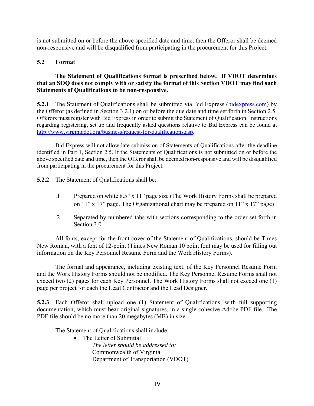is not submitted on or before the above specified date and time, then the Offeror shall be deemed non-responsive and will be disqualified from participating in the procurement for this Project.

# **5.2 Format**

## **The Statement of Qualifications format is prescribed below. If VDOT determines that an SOQ does not comply with or satisfy the format of this Section VDOT may find such Statements of Qualifications to be non-responsive.**

**5.2.1** The Statement of Qualifications shall be submitted via Bid Express (bidexpress.com) by the Offeror (as defined in Section 3.2.1) on or before the due date and time set forth in Section 2.5. Offerors must register with Bid Express in order to submit the Statement of Qualification. Instructions regarding registering, set up and frequently asked questions relative to Bid Express can be found at http://www.virginiadot.org/business/request-for-qualifications.asp.

Bid Express will not allow late submission of Statements of Qualifications after the deadline identified in Part 1, Section 2.5. If the Statements of Qualifications is not submitted on or before the above specified date and time, then the Offeror shall be deemed non-responsive and will be disqualified from participating in the procurement for this Project.

**5.2.2** The Statement of Qualifications shall be:

- .1 Prepared on white 8.5" x 11" page size (The Work History Forms shall be prepared on 11" x 17" page. The Organizational chart may be prepared on 11" x 17" page)
- .2 Separated by numbered tabs with sections corresponding to the order set forth in Section 3.0.

All fonts, except for the front cover of the Statement of Qualifications, should be Times New Roman, with a font of 12-point (Times New Roman 10 point font may be used for filling out information on the Key Personnel Resume Form and the Work History Forms).

The format and appearance, including existing text, of the Key Personnel Resume Form and the Work History Forms should not be modified. The Key Personnel Resume Forms shall not exceed two (2) pages for each Key Personnel. The Work History Forms shall not exceed one (1) page per project for each the Lead Contractor and the Lead Designer.

**5.2.3** Each Offeror shall upload one (1) Statement of Qualifications, with full supporting documentation, which must bear original signatures, in a single cohesive Adobe PDF file. The PDF file should be no more than 20 megabytes (MB) in size.

The Statement of Qualifications shall include:

• The Letter of Submittal *The letter should be addressed to:*  Commonwealth of Virginia Department of Transportation (VDOT)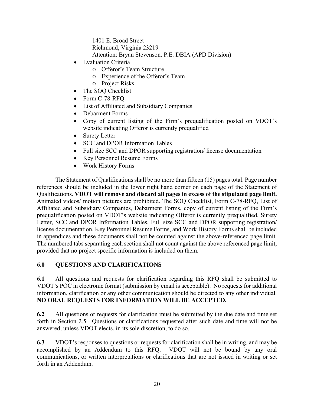1401 E. Broad Street Richmond, Virginia 23219 Attention: Bryan Stevenson, P.E. DBIA (APD Division)

- Evaluation Criteria
	- o Offeror's Team Structure
	- o Experience of the Offeror's Team
	- o Project Risks
- The SOQ Checklist
- Form C-78-RFO
- List of Affiliated and Subsidiary Companies
- Debarment Forms
- Copy of current listing of the Firm's prequalification posted on VDOT's website indicating Offeror is currently prequalified
- Surety Letter
- SCC and DPOR Information Tables
- Full size SCC and DPOR supporting registration/license documentation
- Key Personnel Resume Forms
- Work History Forms

The Statement of Qualifications shall be no more than fifteen (15) pages total. Page number references should be included in the lower right hand corner on each page of the Statement of Qualifications. **VDOT will remove and discard all pages in excess of the stipulated page limit.** Animated videos/ motion pictures are prohibited. The SOQ Checklist, Form C-78-RFQ, List of Affiliated and Subsidiary Companies, Debarment Forms, copy of current listing of the Firm's prequalification posted on VDOT's website indicating Offeror is currently prequalified, Surety Letter, SCC and DPOR Information Tables, Full size SCC and DPOR supporting registration/ license documentation, Key Personnel Resume Forms, and Work History Forms shall be included in appendices and these documents shall not be counted against the above-referenced page limit. The numbered tabs separating each section shall not count against the above referenced page limit, provided that no project specific information is included on them.

# **6.0 QUESTIONS AND CLARIFICATIONS**

**6.1** All questions and requests for clarification regarding this RFQ shall be submitted to VDOT's POC in electronic format (submission by email is acceptable). No requests for additional information, clarification or any other communication should be directed to any other individual. **NO ORAL REQUESTS FOR INFORMATION WILL BE ACCEPTED.** 

**6.2** All questions or requests for clarification must be submitted by the due date and time set forth in Section 2.5. Questions or clarifications requested after such date and time will not be answered, unless VDOT elects, in its sole discretion, to do so.

**6.3** VDOT's responses to questions or requests for clarification shall be in writing, and may be accomplished by an Addendum to this RFQ. VDOT will not be bound by any oral communications, or written interpretations or clarifications that are not issued in writing or set forth in an Addendum.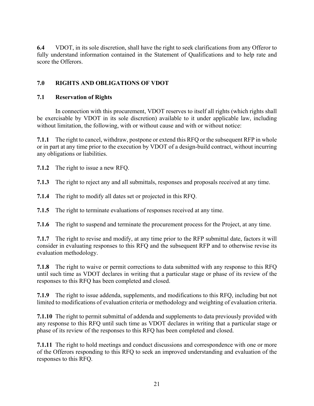**6.4** VDOT, in its sole discretion, shall have the right to seek clarifications from any Offeror to fully understand information contained in the Statement of Qualifications and to help rate and score the Offerors.

# **7.0 RIGHTS AND OBLIGATIONS OF VDOT**

# **7.1 Reservation of Rights**

In connection with this procurement, VDOT reserves to itself all rights (which rights shall be exercisable by VDOT in its sole discretion) available to it under applicable law, including without limitation, the following, with or without cause and with or without notice:

**7.1.1** The right to cancel, withdraw, postpone or extend this RFQ or the subsequent RFP in whole or in part at any time prior to the execution by VDOT of a design-build contract, without incurring any obligations or liabilities.

**7.1.2** The right to issue a new RFQ.

**7.1.3** The right to reject any and all submittals, responses and proposals received at any time.

**7.1.4** The right to modify all dates set or projected in this RFQ.

**7.1.5** The right to terminate evaluations of responses received at any time.

**7.1.6** The right to suspend and terminate the procurement process for the Project, at any time.

**7.1.7** The right to revise and modify, at any time prior to the RFP submittal date, factors it will consider in evaluating responses to this RFQ and the subsequent RFP and to otherwise revise its evaluation methodology.

**7.1.8** The right to waive or permit corrections to data submitted with any response to this RFQ until such time as VDOT declares in writing that a particular stage or phase of its review of the responses to this RFQ has been completed and closed.

**7.1.9** The right to issue addenda, supplements, and modifications to this RFQ, including but not limited to modifications of evaluation criteria or methodology and weighting of evaluation criteria.

**7.1.10** The right to permit submittal of addenda and supplements to data previously provided with any response to this RFQ until such time as VDOT declares in writing that a particular stage or phase of its review of the responses to this RFQ has been completed and closed.

**7.1.11** The right to hold meetings and conduct discussions and correspondence with one or more of the Offerors responding to this RFQ to seek an improved understanding and evaluation of the responses to this RFQ.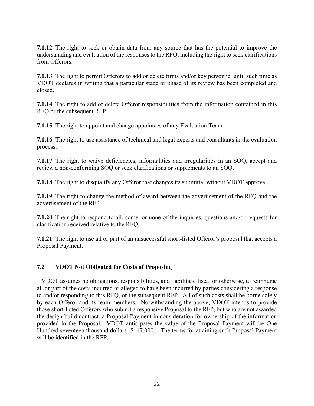**7.1.12** The right to seek or obtain data from any source that has the potential to improve the understanding and evaluation of the responses to the RFQ, including the right to seek clarifications from Offerors.

**7.1.13** The right to permit Offerors to add or delete firms and/or key personnel until such time as VDOT declares in writing that a particular stage or phase of its review has been completed and closed.

**7.1.14** The right to add or delete Offeror responsibilities from the information contained in this RFQ or the subsequent RFP.

**7.1.15** The right to appoint and change appointees of any Evaluation Team.

**7.1.16** The right to use assistance of technical and legal experts and consultants in the evaluation process.

**7.1.17** The right to waive deficiencies, informalities and irregularities in an SOQ, accept and review a non-conforming SOQ or seek clarifications or supplements to an SOQ.

**7.1.18** The right to disqualify any Offeror that changes its submittal without VDOT approval.

**7.1.19** The right to change the method of award between the advertisement of the RFQ and the advertisement of the RFP.

**7.1.20** The right to respond to all, some, or none of the inquiries, questions and/or requests for clarification received relative to the RFQ.

**7.1.21** The right to use all or part of an unsuccessful short-listed Offeror's proposal that accepts a Proposal Payment.

# **7.2 VDOT Not Obligated for Costs of Proposing**

 VDOT assumes no obligations, responsibilities, and liabilities, fiscal or otherwise, to reimburse all or part of the costs incurred or alleged to have been incurred by parties considering a response to and/or responding to this RFQ, or the subsequent RFP. All of such costs shall be borne solely by each Offeror and its team members. Notwithstanding the above, VDOT intends to provide those short-listed Offerors who submit a responsive Proposal to the RFP, but who are not awarded the design-build contract, a Proposal Payment in consideration for ownership of the information provided in the Proposal. VDOT anticipates the value of the Proposal Payment will be One Hundred seventeen thousand dollars (\$117,000). The terms for attaining such Proposal Payment will be identified in the RFP.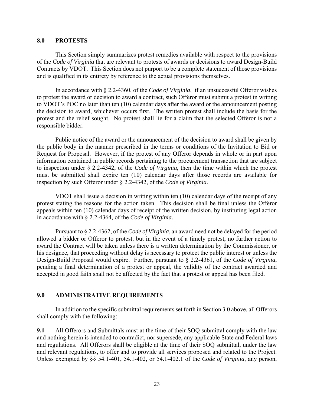#### **8.0 PROTESTS**

This Section simply summarizes protest remedies available with respect to the provisions of the *Code of Virginia* that are relevant to protests of awards or decisions to award Design-Build Contracts by VDOT. This Section does not purport to be a complete statement of those provisions and is qualified in its entirety by reference to the actual provisions themselves.

In accordance with § 2.2-4360, of the *Code of Virginia*, if an unsuccessful Offeror wishes to protest the award or decision to award a contract, such Offeror must submit a protest in writing to VDOT's POC no later than ten (10) calendar days after the award or the announcement posting the decision to award, whichever occurs first. The written protest shall include the basis for the protest and the relief sought. No protest shall lie for a claim that the selected Offeror is not a responsible bidder.

Public notice of the award or the announcement of the decision to award shall be given by the public body in the manner prescribed in the terms or conditions of the Invitation to Bid or Request for Proposal. However, if the protest of any Offeror depends in whole or in part upon information contained in public records pertaining to the procurement transaction that are subject to inspection under § 2.2-4342, of the *Code of Virginia*, then the time within which the protest must be submitted shall expire ten (10) calendar days after those records are available for inspection by such Offeror under § 2.2-4342, of the *Code of Virginia*.

VDOT shall issue a decision in writing within ten (10) calendar days of the receipt of any protest stating the reasons for the action taken. This decision shall be final unless the Offeror appeals within ten (10) calendar days of receipt of the written decision, by instituting legal action in accordance with § 2.2-4364*,* of the *Code of Virginia.* 

Pursuant to § 2.2-4362, of the *Code of Virginia*, an award need not be delayed for the period allowed a bidder or Offeror to protest, but in the event of a timely protest, no further action to award the Contract will be taken unless there is a written determination by the Commissioner, or his designee, that proceeding without delay is necessary to protect the public interest or unless the Design-Build Proposal would expire. Further, pursuant to § 2.2-4361, of the *Code of Virginia*, pending a final determination of a protest or appeal, the validity of the contract awarded and accepted in good faith shall not be affected by the fact that a protest or appeal has been filed.

#### **9.0 ADMINISTRATIVE REQUIREMENTS**

In addition to the specific submittal requirements set forth in Section 3.0 above, all Offerors shall comply with the following:

**9.1** All Offerors and Submittals must at the time of their SOQ submittal comply with the law and nothing herein is intended to contradict, nor supersede, any applicable State and Federal laws and regulations. All Offerors shall be eligible at the time of their SOQ submittal, under the law and relevant regulations, to offer and to provide all services proposed and related to the Project. Unless exempted by §§ 54.1-401, 54.1-402, or 54.1-402.1 of the *Code of Virginia*, any person,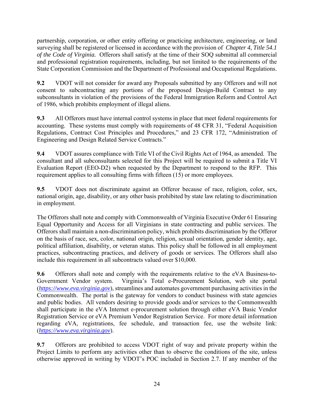partnership, corporation, or other entity offering or practicing architecture, engineering, or land surveying shall be registered or licensed in accordance with the provision of *Chapter 4, Title 54.1 of the Code of Virginia.* Offerors shall satisfy at the time of their SOQ submittal all commercial and professional registration requirements, including, but not limited to the requirements of the State Corporation Commission and the Department of Professional and Occupational Regulations.

**9.2** VDOT will not consider for award any Proposals submitted by any Offerors and will not consent to subcontracting any portions of the proposed Design-Build Contract to any subconsultants in violation of the provisions of the Federal Immigration Reform and Control Act of 1986, which prohibits employment of illegal aliens.

**9.3** All Offerors must have internal control systems in place that meet federal requirements for accounting. These systems must comply with requirements of 48 CFR 31, "Federal Acquisition Regulations, Contract Cost Principles and Procedures," and 23 CFR 172, "Administration of Engineering and Design Related Service Contracts."

**9.4** VDOT assures compliance with Title VI of the Civil Rights Act of 1964, as amended. The consultant and all subconsultants selected for this Project will be required to submit a Title VI Evaluation Report (EEO-D2) when requested by the Department to respond to the RFP. This requirement applies to all consulting firms with fifteen (15) or more employees.

**9.5** VDOT does not discriminate against an Offeror because of race, religion, color, sex, national origin, age, disability, or any other basis prohibited by state law relating to discrimination in employment.

The Offerors shall note and comply with Commonwealth of Virginia Executive Order 61 Ensuring Equal Opportunity and Access for all Virginians in state contracting and public services. The Offerors shall maintain a non-discrimination policy, which prohibits discrimination by the Offeror on the basis of race, sex, color, national origin, religion, sexual orientation, gender identity, age, political affiliation, disability, or veteran status. This policy shall be followed in all employment practices, subcontracting practices, and delivery of goods or services. The Offerors shall also include this requirement in all subcontracts valued over \$10,000.

**9.6** Offerors shall note and comply with the requirements relative to the eVA Business-to-Government Vendor system. Virginia's Total e-Procurement Solution, web site portal (*https://www.eva.virginia.gov*), streamlines and automates government purchasing activities in the Commonwealth. The portal is the gateway for vendors to conduct business with state agencies and public bodies. All vendors desiring to provide goods and/or services to the Commonwealth shall participate in the eVA Internet e-procurement solution through either eVA Basic Vendor Registration Service or eVA Premium Vendor Registration Service. For more detail information regarding eVA, registrations, fee schedule, and transaction fee, use the website link: (*https://www.eva.virginia.gov*).

**9.7** Offerors are prohibited to access VDOT right of way and private property within the Project Limits to perform any activities other than to observe the conditions of the site, unless otherwise approved in writing by VDOT's POC included in Section 2.7. If any member of the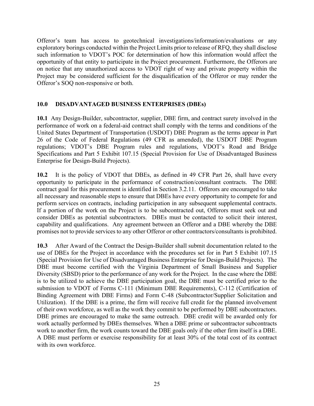Offeror's team has access to geotechnical investigations/information/evaluations or any exploratory borings conducted within the Project Limits prior to release of RFQ, they shall disclose such information to VDOT's POC for determination of how this information would affect the opportunity of that entity to participate in the Project procurement. Furthermore, the Offerors are on notice that any unauthorized access to VDOT right of way and private property within the Project may be considered sufficient for the disqualification of the Offeror or may render the Offeror's SOQ non-responsive or both.

#### **10.0 DISADVANTAGED BUSINESS ENTERPRISES (DBEs)**

**10.1** Any Design-Builder, subcontractor, supplier, DBE firm, and contract surety involved in the performance of work on a federal-aid contract shall comply with the terms and conditions of the United States Department of Transportation (USDOT) DBE Program as the terms appear in Part 26 of the Code of Federal Regulations (49 CFR as amended), the USDOT DBE Program regulations; VDOT's DBE Program rules and regulations, VDOT's Road and Bridge Specifications and Part 5 Exhibit 107.15 (Special Provision for Use of Disadvantaged Business Enterprise for Design-Build Projects).

**10.2** It is the policy of VDOT that DBEs, as defined in 49 CFR Part 26, shall have every opportunity to participate in the performance of construction/consultant contracts. The DBE contract goal for this procurement is identified in Section 3.2.11. Offerors are encouraged to take all necessary and reasonable steps to ensure that DBEs have every opportunity to compete for and perform services on contracts, including participation in any subsequent supplemental contracts. If a portion of the work on the Project is to be subcontracted out, Offerors must seek out and consider DBEs as potential subcontractors. DBEs must be contacted to solicit their interest, capability and qualifications. Any agreement between an Offeror and a DBE whereby the DBE promises not to provide services to any other Offeror or other contractors/consultants is prohibited.

**10.3** After Award of the Contract the Design-Builder shall submit documentation related to the use of DBEs for the Project in accordance with the procedures set for in Part 5 Exhibit 107.15 (Special Provision for Use of Disadvantaged Business Enterprise for Design-Build Projects). The DBE must become certified with the Virginia Department of Small Business and Supplier Diversity (SBSD) prior to the performance of any work for the Project. In the case where the DBE is to be utilized to achieve the DBE participation goal, the DBE must be certified prior to the submission to VDOT of Forms C-111 (Minimum DBE Requirements), C-112 (Certification of Binding Agreement with DBE Firms) and Form C-48 (Subcontractor/Supplier Solicitation and Utilization). If the DBE is a prime, the firm will receive full credit for the planned involvement of their own workforce, as well as the work they commit to be performed by DBE subcontractors. DBE primes are encouraged to make the same outreach. DBE credit will be awarded only for work actually performed by DBEs themselves. When a DBE prime or subcontractor subcontracts work to another firm, the work counts toward the DBE goals only if the other firm itself is a DBE. A DBE must perform or exercise responsibility for at least 30% of the total cost of its contract with its own workforce.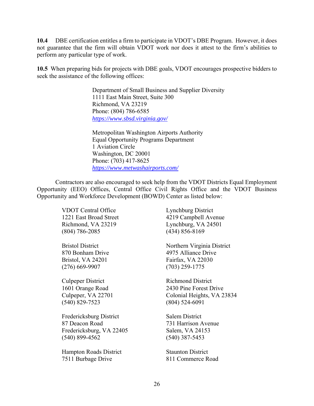**10.4** DBE certification entitles a firm to participate in VDOT's DBE Program. However, it does not guarantee that the firm will obtain VDOT work nor does it attest to the firm's abilities to perform any particular type of work.

**10.5** When preparing bids for projects with DBE goals, VDOT encourages prospective bidders to seek the assistance of the following offices:

> Department of Small Business and Supplier Diversity 1111 East Main Street, Suite 300 Richmond, VA 23219 Phone: (804) 786-6585 *https://www.sbsd.virginia.gov/*

 Metropolitan Washington Airports Authority Equal Opportunity Programs Department 1 Aviation Circle Washington, DC 20001 Phone: (703) 417-8625 *https://www.metwashairports.com/*

Contractors are also encouraged to seek help from the VDOT Districts Equal Employment Opportunity (EEO) Offices, Central Office Civil Rights Office and the VDOT Business Opportunity and Workforce Development (BOWD) Center as listed below:

> VDOT Central Office Lynchburg District 1221 East Broad Street 4219 Campbell Avenue Richmond, VA 23219 Lynchburg, VA 24501 (804) 786-2085 (434) 856-8169

(276) 669-9907 (703) 259-1775

Culpeper District Richmond District (540) 829-7523 (804) 524-6091

Fredericksburg District Salem District 87 Deacon Road 731 Harrison Avenue Fredericksburg, VA 22405 Salem, VA 24153 (540) 899-4562 (540) 387-5453

**Hampton Roads District Staunton District** 7511 Burbage Drive 811 Commerce Road

Bristol District Northern Virginia District 870 Bonham Drive 4975 Alliance Drive Bristol, VA 24201 Fairfax, VA 22030

1601 Orange Road 2430 Pine Forest Drive Culpeper, VA 22701 Colonial Heights, VA 23834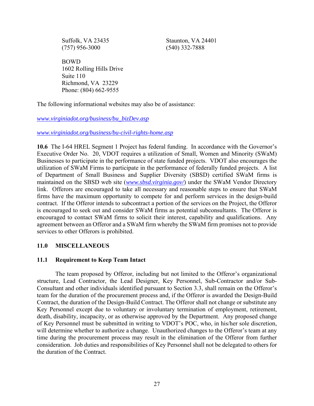(757) 956-3000 (540) 332-7888

Suffolk, VA 23435 Staunton, VA 24401

BOWD 1602 Rolling Hills Drive Suite 110 Richmond, VA 23229 Phone: (804) 662-9555

The following informational websites may also be of assistance:

*www.virginiadot.org/business/bu\_bizDev.asp* 

*www.virginiadot.org/business/bu-civil-rights-home.asp* 

**10.6** The I-64 HREL Segment 1 Project has federal funding. In accordance with the Governor's Executive Order No. 20, VDOT requires a utilization of Small, Women and Minority (SWaM) Businesses to participate in the performance of state funded projects. VDOT also encourages the utilization of SWaM Firms to participate in the performance of federally funded projects. A list of Department of Small Business and Supplier Diversity (SBSD) certified SWaM firms is maintained on the SBSD web site (*www.sbsd.virginia.gov/*) under the SWaM Vendor Directory link. Offerors are encouraged to take all necessary and reasonable steps to ensure that SWaM firms have the maximum opportunity to compete for and perform services in the design-build contract. If the Offeror intends to subcontract a portion of the services on the Project, the Offeror is encouraged to seek out and consider SWaM firms as potential subconsultants. The Offeror is encouraged to contact SWaM firms to solicit their interest, capability and qualifications. Any agreement between an Offeror and a SWaM firm whereby the SWaM firm promises not to provide services to other Offerors is prohibited.

# **11.0 MISCELLANEOUS**

#### **11.1 Requirement to Keep Team Intact**

 The team proposed by Offeror, including but not limited to the Offeror's organizational structure, Lead Contractor, the Lead Designer, Key Personnel, Sub-Contractor and/or Sub-Consultant and other individuals identified pursuant to Section 3.3, shall remain on the Offeror's team for the duration of the procurement process and, if the Offeror is awarded the Design-Build Contract, the duration of the Design-Build Contract. The Offeror shall not change or substitute any Key Personnel except due to voluntary or involuntary termination of employment, retirement, death, disability, incapacity, or as otherwise approved by the Department. Any proposed change of Key Personnel must be submitted in writing to VDOT's POC, who, in his/her sole discretion, will determine whether to authorize a change. Unauthorized changes to the Offeror's team at any time during the procurement process may result in the elimination of the Offeror from further consideration. Job duties and responsibilities of Key Personnel shall not be delegated to others for the duration of the Contract.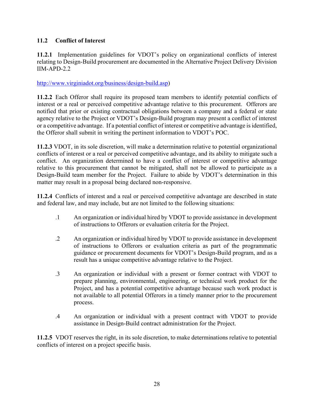# **11.2 Conflict of Interest**

**11.2.1** Implementation guidelines for VDOT's policy on organizational conflicts of interest relating to Design-Build procurement are documented in the Alternative Project Delivery Division IIM-APD-2.2

http://www.virginiadot.org/business/design-build.asp)

**11.2.2** Each Offeror shall require its proposed team members to identify potential conflicts of interest or a real or perceived competitive advantage relative to this procurement. Offerors are notified that prior or existing contractual obligations between a company and a federal or state agency relative to the Project or VDOT's Design-Build program may present a conflict of interest or a competitive advantage. If a potential conflict of interest or competitive advantage is identified, the Offeror shall submit in writing the pertinent information to VDOT's POC.

**11.2.3** VDOT, in its sole discretion, will make a determination relative to potential organizational conflicts of interest or a real or perceived competitive advantage, and its ability to mitigate such a conflict. An organization determined to have a conflict of interest or competitive advantage relative to this procurement that cannot be mitigated, shall not be allowed to participate as a Design-Build team member for the Project. Failure to abide by VDOT's determination in this matter may result in a proposal being declared non-responsive.

**11.2.4** Conflicts of interest and a real or perceived competitive advantage are described in state and federal law, and may include, but are not limited to the following situations:

- .1 An organization or individual hired by VDOT to provide assistance in development of instructions to Offerors or evaluation criteria for the Project.
- .2 An organization or individual hired by VDOT to provide assistance in development of instructions to Offerors or evaluation criteria as part of the programmatic guidance or procurement documents for VDOT's Design-Build program, and as a result has a unique competitive advantage relative to the Project.
- .3 An organization or individual with a present or former contract with VDOT to prepare planning, environmental, engineering, or technical work product for the Project, and has a potential competitive advantage because such work product is not available to all potential Offerors in a timely manner prior to the procurement process.
- .4 An organization or individual with a present contract with VDOT to provide assistance in Design-Build contract administration for the Project.

**11.2.5** VDOT reserves the right, in its sole discretion, to make determinations relative to potential conflicts of interest on a project specific basis.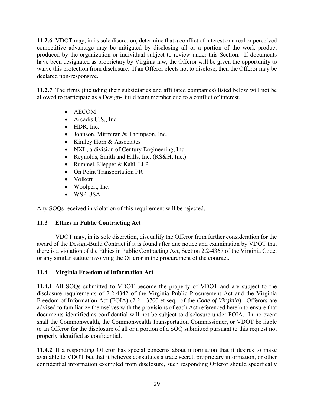**11.2.6** VDOT may, in its sole discretion, determine that a conflict of interest or a real or perceived competitive advantage may be mitigated by disclosing all or a portion of the work product produced by the organization or individual subject to review under this Section. If documents have been designated as proprietary by Virginia law, the Offeror will be given the opportunity to waive this protection from disclosure. If an Offeror elects not to disclose, then the Offeror may be declared non-responsive.

**11.2.7** The firms (including their subsidiaries and affiliated companies) listed below will not be allowed to participate as a Design-Build team member due to a conflict of interest.

- AECOM
- Arcadis U.S., Inc.
- HDR, Inc.
- Johnson, Mirmiran & Thompson, Inc.
- Kimley Horn & Associates
- NXL, a division of Century Engineering, Inc.
- Reynolds, Smith and Hills, Inc. (RS&H, Inc.)
- Rummel, Klepper & Kahl, LLP
- On Point Transportation PR
- Volkert
- Woolpert, Inc.
- WSP USA

Any SOQs received in violation of this requirement will be rejected.

# **11.3 Ethics in Public Contracting Act**

VDOT may, in its sole discretion, disqualify the Offeror from further consideration for the award of the Design-Build Contract if it is found after due notice and examination by VDOT that there is a violation of the Ethics in Public Contracting Act, Section 2.2-4367 of the Virginia Code, or any similar statute involving the Offeror in the procurement of the contract.

# **11.4 Virginia Freedom of Information Act**

**11.4.1** All SOQs submitted to VDOT become the property of VDOT and are subject to the disclosure requirements of 2.2-4342 of the Virginia Public Procurement Act and the Virginia Freedom of Information Act (FOIA) (2.2—3700 et seq. of the *Code of Virginia*). Offerors are advised to familiarize themselves with the provisions of each Act referenced herein to ensure that documents identified as confidential will not be subject to disclosure under FOIA. In no event shall the Commonwealth, the Commonwealth Transportation Commissioner, or VDOT be liable to an Offeror for the disclosure of all or a portion of a SOQ submitted pursuant to this request not properly identified as confidential.

**11.4.2** If a responding Offeror has special concerns about information that it desires to make available to VDOT but that it believes constitutes a trade secret, proprietary information, or other confidential information exempted from disclosure, such responding Offeror should specifically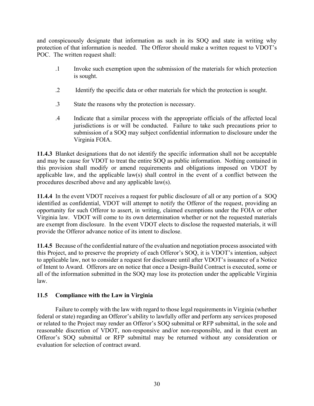and conspicuously designate that information as such in its SOQ and state in writing why protection of that information is needed. The Offeror should make a written request to VDOT's POC. The written request shall:

- .1Invoke such exemption upon the submission of the materials for which protection is sought.
- .2 Identify the specific data or other materials for which the protection is sought.
- .3State the reasons why the protection is necessary.
- .4 Indicate that a similar process with the appropriate officials of the affected local jurisdictions is or will be conducted. Failure to take such precautions prior to submission of a SOQ may subject confidential information to disclosure under the Virginia FOIA.

**11.4.3** Blanket designations that do not identify the specific information shall not be acceptable and may be cause for VDOT to treat the entire SOQ as public information. Nothing contained in this provision shall modify or amend requirements and obligations imposed on VDOT by applicable law, and the applicable law(s) shall control in the event of a conflict between the procedures described above and any applicable law(s).

**11.4.4** In the event VDOT receives a request for public disclosure of all or any portion of a SOQ identified as confidential, VDOT will attempt to notify the Offeror of the request, providing an opportunity for such Offeror to assert, in writing, claimed exemptions under the FOIA or other Virginia law. VDOT will come to its own determination whether or not the requested materials are exempt from disclosure. In the event VDOT elects to disclose the requested materials, it will provide the Offeror advance notice of its intent to disclose.

**11.4.5** Because of the confidential nature of the evaluation and negotiation process associated with this Project, and to preserve the propriety of each Offeror's SOQ, it is VDOT's intention, subject to applicable law, not to consider a request for disclosure until after VDOT's issuance of a Notice of Intent to Award. Offerors are on notice that once a Design-Build Contract is executed, some or all of the information submitted in the SOQ may lose its protection under the applicable Virginia law.

# **11.5 Compliance with the Law in Virginia**

Failure to comply with the law with regard to those legal requirements in Virginia (whether federal or state) regarding an Offeror's ability to lawfully offer and perform any services proposed or related to the Project may render an Offeror's SOQ submittal or RFP submittal, in the sole and reasonable discretion of VDOT, non-responsive and/or non-responsible, and in that event an Offeror's SOQ submittal or RFP submittal may be returned without any consideration or evaluation for selection of contract award.